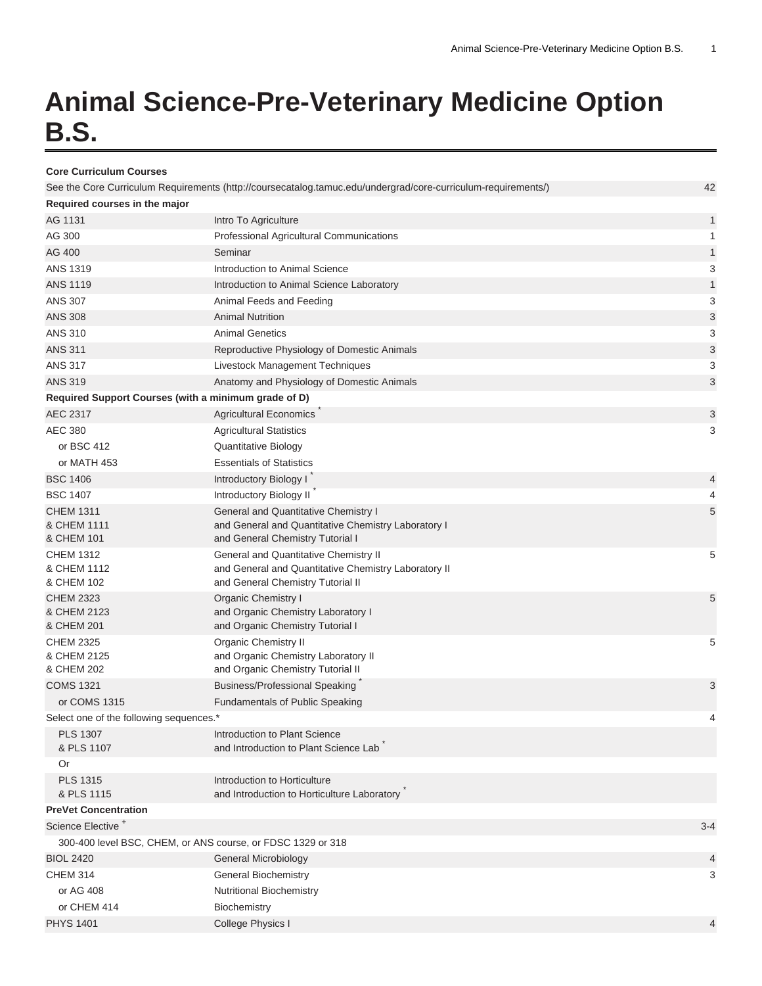## **Animal Science-Pre-Veterinary Medicine Option B.S.**

| <b>Core Curriculum Courses</b>                              |                                                                                                               |         |
|-------------------------------------------------------------|---------------------------------------------------------------------------------------------------------------|---------|
|                                                             | See the Core Curriculum Requirements (http://coursecatalog.tamuc.edu/undergrad/core-curriculum-requirements/) | 42      |
| Required courses in the major                               |                                                                                                               |         |
| AG 1131                                                     | Intro To Agriculture                                                                                          | 1       |
| AG 300                                                      | Professional Agricultural Communications                                                                      | 1       |
| AG 400                                                      | Seminar                                                                                                       | 1       |
| <b>ANS 1319</b>                                             | Introduction to Animal Science                                                                                | 3       |
| <b>ANS 1119</b>                                             | Introduction to Animal Science Laboratory                                                                     | 1       |
| <b>ANS 307</b>                                              | Animal Feeds and Feeding                                                                                      | 3       |
| <b>ANS 308</b>                                              | <b>Animal Nutrition</b>                                                                                       | 3       |
| <b>ANS 310</b>                                              | <b>Animal Genetics</b>                                                                                        | 3       |
| <b>ANS 311</b>                                              | Reproductive Physiology of Domestic Animals                                                                   | 3       |
| <b>ANS 317</b>                                              | Livestock Management Techniques                                                                               | 3       |
| <b>ANS 319</b>                                              | Anatomy and Physiology of Domestic Animals                                                                    | 3       |
| Required Support Courses (with a minimum grade of D)        |                                                                                                               |         |
| AEC 2317                                                    | <b>Agricultural Economics</b>                                                                                 | 3       |
| <b>AEC 380</b>                                              | <b>Agricultural Statistics</b>                                                                                | 3       |
| or BSC 412                                                  | Quantitative Biology                                                                                          |         |
| or MATH 453                                                 | <b>Essentials of Statistics</b>                                                                               |         |
| <b>BSC 1406</b>                                             | Introductory Biology I                                                                                        | 4       |
| <b>BSC 1407</b>                                             | Introductory Biology II                                                                                       | 4       |
| <b>CHEM 1311</b>                                            | General and Quantitative Chemistry I                                                                          | 5       |
| & CHEM 1111                                                 | and General and Quantitative Chemistry Laboratory I                                                           |         |
| & CHEM 101                                                  | and General Chemistry Tutorial I                                                                              |         |
| <b>CHEM 1312</b>                                            | General and Quantitative Chemistry II                                                                         | 5       |
| & CHEM 1112                                                 | and General and Quantitative Chemistry Laboratory II                                                          |         |
| & CHEM 102                                                  | and General Chemistry Tutorial II                                                                             |         |
| <b>CHEM 2323</b>                                            | Organic Chemistry I                                                                                           | 5       |
| & CHEM 2123<br>& CHEM 201                                   | and Organic Chemistry Laboratory I<br>and Organic Chemistry Tutorial I                                        |         |
| <b>CHEM 2325</b>                                            | <b>Organic Chemistry II</b>                                                                                   | 5       |
| & CHEM 2125                                                 | and Organic Chemistry Laboratory II                                                                           |         |
| & CHEM 202                                                  | and Organic Chemistry Tutorial II                                                                             |         |
| <b>COMS 1321</b>                                            | <b>Business/Professional Speaking</b>                                                                         | 3       |
| or COMS 1315                                                | Fundamentals of Public Speaking                                                                               |         |
| Select one of the following sequences.*                     |                                                                                                               | 4       |
| <b>PLS 1307</b>                                             | Introduction to Plant Science                                                                                 |         |
| & PLS 1107                                                  | and Introduction to Plant Science Lab                                                                         |         |
| Or                                                          |                                                                                                               |         |
| <b>PLS 1315</b>                                             | Introduction to Horticulture                                                                                  |         |
| & PLS 1115                                                  | and Introduction to Horticulture Laboratory                                                                   |         |
| <b>PreVet Concentration</b>                                 |                                                                                                               |         |
| Science Elective <sup>+</sup>                               |                                                                                                               | $3 - 4$ |
| 300-400 level BSC, CHEM, or ANS course, or FDSC 1329 or 318 |                                                                                                               |         |
| <b>BIOL 2420</b>                                            | <b>General Microbiology</b>                                                                                   | 4       |
| <b>CHEM 314</b>                                             | <b>General Biochemistry</b>                                                                                   | 3       |
| or AG 408                                                   | Nutritional Biochemistry                                                                                      |         |
| or CHEM 414                                                 | Biochemistry                                                                                                  |         |
| <b>PHYS 1401</b>                                            | College Physics I                                                                                             | 4       |